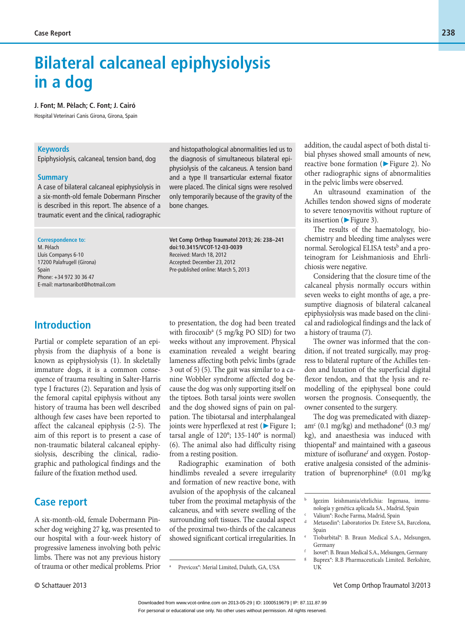# **Bilateral calcaneal epiphysiolysis in a dog**

#### **J. Font; M. Pèlach; C. Font; J. Cairó**

Hospital Veterinari Canis Girona, Girona, Spain

#### **Keywords**

Epiphysiolysis, calcaneal, tension band, dog

#### **Summary**

A case of bilateral calcaneal epiphysiolysis in a six-month-old female Dobermann Pinscher is described in this report. The absence of a traumatic event and the clinical, radiographic

#### **Correspondence to:**

M. Pèlach Lluis Companys 6-10 17200 Palafrugell (Girona) Spain Phone: +34 972 30 36 47 E-mail: martonaribot@hotmail.com

### **Introduction**

Partial or complete separation of an epiphysis from the diaphysis of a bone is known as epiphysiolysis (1). In skeletally immature dogs, it is a common consequence of trauma resulting in Salter-Harris type I fractures (2). Separation and lysis of the femoral capital epiphysis without any history of trauma has been well described although few cases have been reported to affect the calcaneal epiphysis (2-5). The aim of this report is to present a case of non-traumatic bilateral calcaneal epiphysiolysis, describing the clinical, radiographic and pathological findings and the failure of the fixation method used.

### **Case report**

A six-month-old, female Dobermann Pinscher dog weighing 27 kg, was presented to our hospital with a four-week history of progressive lameness involving both pelvic limbs. There was not any previous history of trauma or other medical problems. Prior and histopathological abnormalities led us to the diagnosis of simultaneous bilateral epiphysiolysis of the calcaneus. A tension band and a type II transarticular external fixator were placed. The clinical signs were resolved only temporarily because of the gravity of the bone changes.

**Vet Comp Orthop Traumatol 2013; 26: 238–241 doi:10.3415/VCOT-12-03-0039** Received: March 18, 2012 Accepted: December 23, 2012 Pre-published online: March 5, 2013

to presentation, the dog had been treated with firocoxib<sup>a</sup> (5 mg/kg PO SID) for two weeks without any improvement. Physical examination revealed a weight bearing lameness affecting both pelvic limbs (grade 3 out of 5) (5). The gait was similar to a canine Wobbler syndrome affected dog because the dog was only supporting itself on the tiptoes. Both tarsal joints were swollen and the dog showed signs of pain on palpation. The tibiotarsal and interphalangeal joints were hyperflexed at rest (▶ Figure 1; tarsal angle of 120°; 135-140° is normal) (6). The animal also had difficulty rising from a resting position.

Radiographic examination of both hindlimbs revealed a severe irregularity and formation of new reactive bone, with avulsion of the apophysis of the calcaneal tuber from the proximal metaphysis of the calcaneus, and with severe swelling of the surrounding soft tissues. The caudal aspect of the proximal two-thirds of the calcaneus showed significant cortical irregularities. In addition, the caudal aspect of both distal tibial physes showed small amounts of new, reactive bone formation (▶ Figure 2). No other radiographic signs of abnormalities in the pelvic limbs were observed.

An ultrasound examination of the Achilles tendon showed signs of moderate to severe tenosynovitis without rupture of its insertion (▶ Figure 3).

The results of the haematology, biochemistry and bleeding time analyses were normal. Serological ELISA tests<sup>b</sup> and a proteinogram for Leishmaniosis and Ehrlichiosis were negative.

Considering that the closure time of the calcaneal physis normally occurs within seven weeks to eight months of age, a presumptive diagnosis of bilateral calcaneal epiphysiolysis was made based on the clinical and radiological findings and the lack of a history of trauma (7).

The owner was informed that the condition, if not treated surgically, may progress to bilateral rupture of the Achilles tendon and luxation of the superficial digital flexor tendon, and that the lysis and remodelling of the epiphyseal bone could worsen the prognosis. Consequently, the owner consented to the surgery.

The dog was premedicated with diazepam<sup>c</sup> (0.1 mg/kg) and methadone<sup>d</sup> (0.3 mg/ kg), and anaesthesia was induced with thiopental<sup>e</sup> and maintained with a gaseous mixture of isoflurane<sup>f</sup> and oxygen. Postoperative analgesia consisted of the administration of buprenorphine<sup>g</sup> (0.01 mg/kg

Metasedin®: Laboratorios Dr. Esteve SA, Barcelona, Spain

Previcox®: Merial Limited, Duluth, GA, USA

<sup>b</sup> Igezim leishmania/ehrlichia: Ingenasa, immunología y genética aplicada SA., Madrid, Spain

Valium®: Roche Farma, Madrid, Spain

<sup>e</sup> Tiobarbital®: B. Braun Medical S.A., Melsungen, Germany

Isovet<sup>®</sup>: B. Braun Medical S.A., Melsungen, Germany

Buprex®: R.B Pharmaceuticals Limited. Berkshire, UK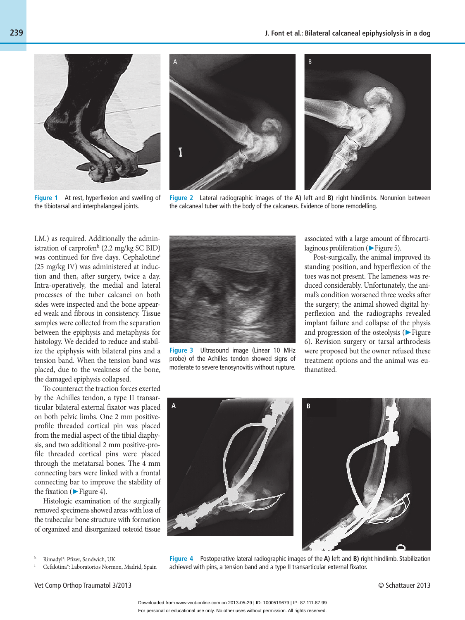

**Figure 1** At rest, hyperflexion and swelling of the tibiotarsal and interphalangeal joints.



**Figure 2** Lateral radiographic images of the **A)** left and **B)** right hindlimbs. Nonunion between the calcaneal tuber with the body of the calcaneus. Evidence of bone remodelling.

I.M.) as required. Additionally the administration of carprofen<sup>h</sup> (2.2 mg/kg SC BID) was continued for five days. Cephalotine<sup>i</sup> (25 mg/kg IV) was administered at induction and then, after surgery, twice a day. Intra-operatively, the medial and lateral processes of the tuber calcanei on both sides were inspected and the bone appeared weak and fibrous in consistency. Tissue samples were collected from the separation between the epiphysis and metaphysis for histology. We decided to reduce and stabilize the epiphysis with bilateral pins and a tension band. When the tension band was placed, due to the weakness of the bone, the damaged epiphysis collapsed.

To counteract the traction forces exerted by the Achilles tendon, a type II transarticular bilateral external fixator was placed on both pelvic limbs. One 2 mm positiveprofile threaded cortical pin was placed from the medial aspect of the tibial diaphysis, and two additional 2 mm positive-profile threaded cortical pins were placed through the metatarsal bones. The 4 mm connecting bars were linked with a frontal connecting bar to improve the stability of the fixation ( $\blacktriangleright$  Figure 4).

Histologic examination of the surgically removed specimens showed areas with loss of the trabecular bone structure with formation of organized and disorganized osteoid tissue



**Figure 3** Ultrasound image (Linear 10 MHz probe) of the Achilles tendon showed signs of moderate to severe tenosynovitis without rupture.

associated with a large amount of fibrocartilaginous proliferation (▶ Figure 5).

Post-surgically, the animal improved its standing position, and hyperflexion of the toes was not present. The lameness was reduced considerably. Unfortunately, the animal's condition worsened three weeks after the surgery; the animal showed digital hyperflexion and the radiographs revealed implant failure and collapse of the physis and progression of the osteolysis (▶ Figure 6). Revision surgery or tarsal arthrodesis were proposed but the owner refused these treatment options and the animal was euthanatized.





**Figure 4** Postoperative lateral radiographic images of the **A)** left and **B)** right hindlimb. Stabilization achieved with pins, a tension band and a type II transarticular external fixator.

Rimadyl®: Pfizer, Sandwich, UK

Cefalotina®: Laboratorios Normon, Madrid, Spain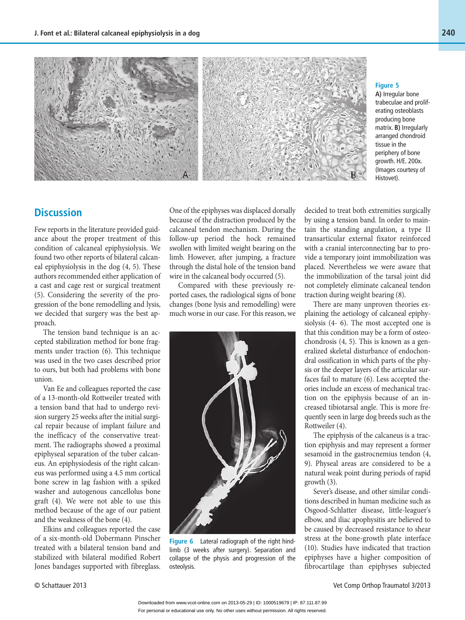

**Figure 5** 

**A)** Irregular bone trabeculae and proliferating osteoblasts producing bone matrix. **B)** Irregularly arranged chondroid tissue in the periphery of bone growth. H/E. 200x. (Images courtesy of Histovet).

# **Discussion**

Few reports in the literature provided guidance about the proper treatment of this condition of calcaneal epiphysiolysis. We found two other reports of bilateral calcaneal epiphysiolysis in the dog (4, 5). These authors recommended either application of a cast and cage rest or surgical treatment (5). Considering the severity of the progression of the bone remodelling and lysis, we decided that surgery was the best approach.

 The tension band technique is an accepted stabilization method for bone fragments under traction (6). This technique was used in the two cases described prior to ours, but both had problems with bone union.

Van Ee and colleagues reported the case of a 13-month-old Rottweiler treated with a tension band that had to undergo revision surgery 25 weeks after the initial surgical repair because of implant failure and the inefficacy of the conservative treatment. The radiographs showed a proximal epiphyseal separation of the tuber calcaneus. An epiphysiodesis of the right calcaneus was performed using a 4.5 mm cortical bone screw in lag fashion with a spiked washer and autogenous cancellolus bone graft (4). We were not able to use this method because of the age of our patient and the weakness of the bone (4).

Elkins and colleagues reported the case of a six-month-old Dobermann Pinscher treated with a bilateral tension band and stabilized with bilateral modified Robert Jones bandages supported with fibreglass.

One of the epiphyses was displaced dorsally because of the distraction produced by the calcaneal tendon mechanism. During the follow-up period the hock remained swollen with limited weight bearing on the limb. However, after jumping, a fracture through the distal hole of the tension band wire in the calcaneal body occurred (5).

Compared with these previously reported cases, the radiological signs of bone changes (bone lysis and remodelling) were much worse in our case. For this reason, we



**Figure 6** Lateral radiograph of the right hindlimb (3 weeks after surgery). Separation and collapse of the physis and progression of the osteolysis.

decided to treat both extremities surgically by using a tension band. In order to maintain the standing angulation, a type II transarticular external fixator reinforced with a cranial interconnecting bar to provide a temporary joint immobilization was placed. Nevertheless we were aware that the immobilization of the tarsal joint did not completely eliminate calcaneal tendon traction during weight bearing (8).

There are many unproven theories explaining the aetiology of calcaneal epiphysiolysis (4- 6). The most accepted one is that this condition may be a form of osteochondrosis (4, 5). This is known as a generalized skeletal disturbance of endochondral ossification in which parts of the physis or the deeper layers of the articular surfaces fail to mature (6). Less accepted theories include an excess of mechanical traction on the epiphysis because of an increased tibiotarsal angle. This is more frequently seen in large dog breeds such as the Rottweiler (4).

The epiphysis of the calcaneus is a traction epiphysis and may represent a former sesamoid in the gastrocnemius tendon (4, 9). Physeal areas are considered to be a natural weak point during periods of rapid growth (3).

Sever's disease, and other similar conditions described in human medicine such as Osgood-Schlatter disease, little-leaguer's elbow, and iliac apophysitis are believed to be caused by decreased resistance to shear stress at the bone-growth plate interface (10). Studies have indicated that traction epiphyses have a higher composition of fibrocartilage than epiphyses subjected